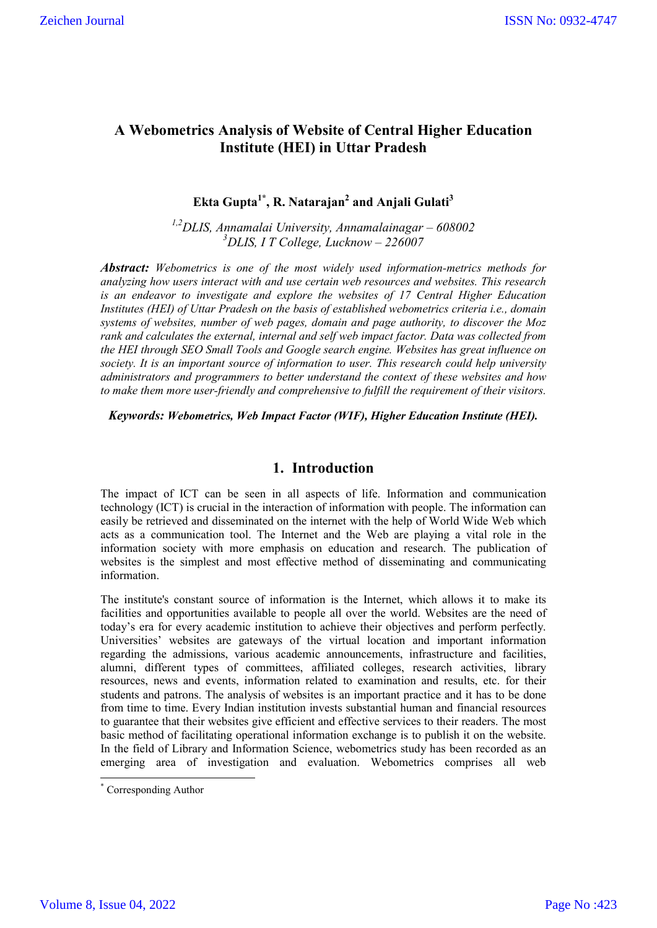# **A Webometrics Analysis of Website of Central Higher Education Institute (HEI) in Uttar Pradesh**

# **Ekta Gupta1\* , R. Natarajan2 and Anjali Gulati3**

*1,2DLIS, Annamalai University, Annamalainagar – 608002 3 DLIS, I T College, Lucknow – 226007*

*Abstract: Webometrics is one of the most widely used information-metrics methods for analyzing how users interact with and use certain web resources and websites. This research is an endeavor to investigate and explore the websites of 17 Central Higher Education Institutes (HEI) of Uttar Pradesh on the basis of established webometrics criteria i.e., domain systems of websites, number of web pages, domain and page authority, to discover the Moz rank and calculates the external, internal and self web impact factor. Data was collected from the HEI through SEO Small Tools and Google search engine. Websites has great influence on society. It is an important source of information to user. This research could help university administrators and programmers to better understand the context of these websites and how to make them more user-friendly and comprehensive to fulfill the requirement of their visitors.*

*Keywords: Webometrics, Web Impact Factor (WIF), Higher Education Institute (HEI).*

## **1. Introduction**

The impact of ICT can be seen in all aspects of life. Information and communication technology (ICT) is crucial in the interaction of information with people. The information can easily be retrieved and disseminated on the internet with the help of World Wide Web which acts as a communication tool. The Internet and the Web are playing a vital role in the information society with more emphasis on education and research. The publication of websites is the simplest and most effective method of disseminating and communicating information.

The institute's constant source of information is the Internet, which allows it to make its facilities and opportunities available to people all over the world. Websites are the need of today's era for every academic institution to achieve their objectives and perform perfectly. Universities' websites are gateways of the virtual location and important information regarding the admissions, various academic announcements, infrastructure and facilities, alumni, different types of committees, affiliated colleges, research activities, library resources, news and events, information related to examination and results, etc. for their students and patrons. The analysis of websites is an important practice and it has to be done from time to time. Every Indian institution invests substantial human and financial resources to guarantee that their websites give efficient and effective services to their readers. The most basic method of facilitating operational information exchange is to publish it on the website. In the field of Library and Information Science, webometrics study has been recorded as an emerging area of investigation and evaluation. Webometrics comprises all web

\* Corresponding Author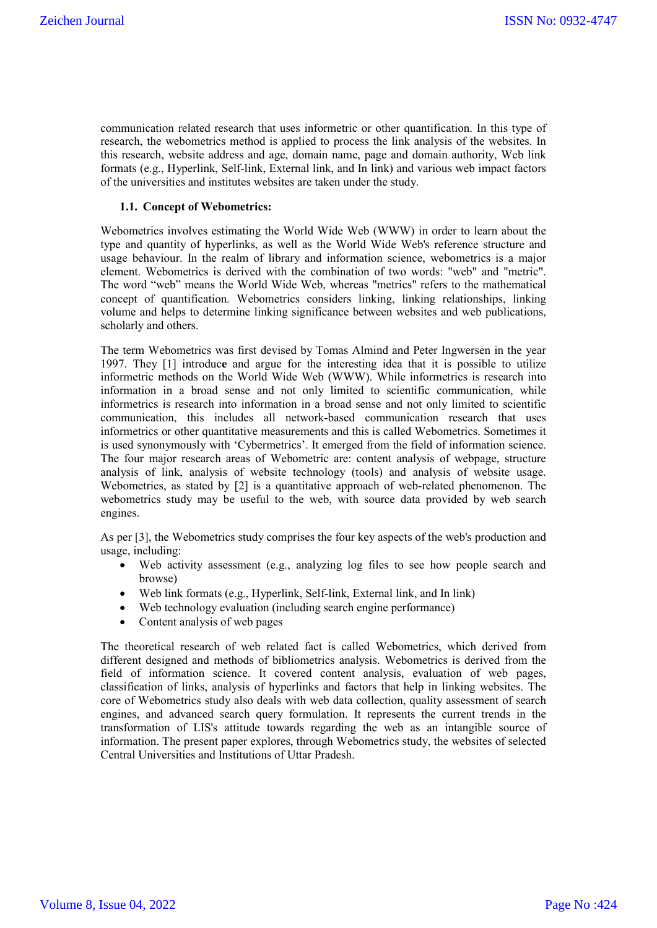communication related research that uses informetric or other quantification. In this type of research, the webometrics method is applied to process the link analysis of the websites. In this research, website address and age, domain name, page and domain authority, Web link formats (e.g., Hyperlink, Self-link, External link, and In link) and various web impact factors of the universities and institutes websites are taken under the study.

#### **1.1. Concept of Webometrics:**

Webometrics involves estimating the World Wide Web (WWW) in order to learn about the type and quantity of hyperlinks, as well as the World Wide Web's reference structure and usage behaviour. In the realm of library and information science, webometrics is a major element. Webometrics is derived with the combination of two words: "web" and "metric". The word "web" means the World Wide Web, whereas "metrics" refers to the mathematical concept of quantification. Webometrics considers linking, linking relationships, linking volume and helps to determine linking significance between websites and web publications, scholarly and others.

The term Webometrics was first devised by Tomas Almind and Peter Ingwersen in the year 1997. They [1] introduc**e** and argue for the interesting idea that it is possible to utilize informetric methods on the World Wide Web (WWW). While informetrics is research into information in a broad sense and not only limited to scientific communication, while informetrics is research into information in a broad sense and not only limited to scientific communication, this includes all network-based communication research that uses informetrics or other quantitative measurements and this is called Webometrics. Sometimes it is used synonymously with 'Cybermetrics'. It emerged from the field of information science. The four major research areas of Webometric are: content analysis of webpage, structure analysis of link, analysis of website technology (tools) and analysis of website usage. Webometrics, as stated by [2] is a quantitative approach of web-related phenomenon. The webometrics study may be useful to the web, with source data provided by web search engines.

As per [3], the Webometrics study comprises the four key aspects of the web's production and usage, including:

- Web activity assessment (e.g., analyzing log files to see how people search and browse)
- Web link formats (e.g., Hyperlink, Self-link, External link, and In link)
- Web technology evaluation (including search engine performance)
- Content analysis of web pages

The theoretical research of web related fact is called Webometrics, which derived from different designed and methods of bibliometrics analysis. Webometrics is derived from the field of information science. It covered content analysis, evaluation of web pages, classification of links, analysis of hyperlinks and factors that help in linking websites. The core of Webometrics study also deals with web data collection, quality assessment of search engines, and advanced search query formulation. It represents the current trends in the transformation of LIS's attitude towards regarding the web as an intangible source of information. The present paper explores, through Webometrics study, the websites of selected Central Universities and Institutions of Uttar Pradesh.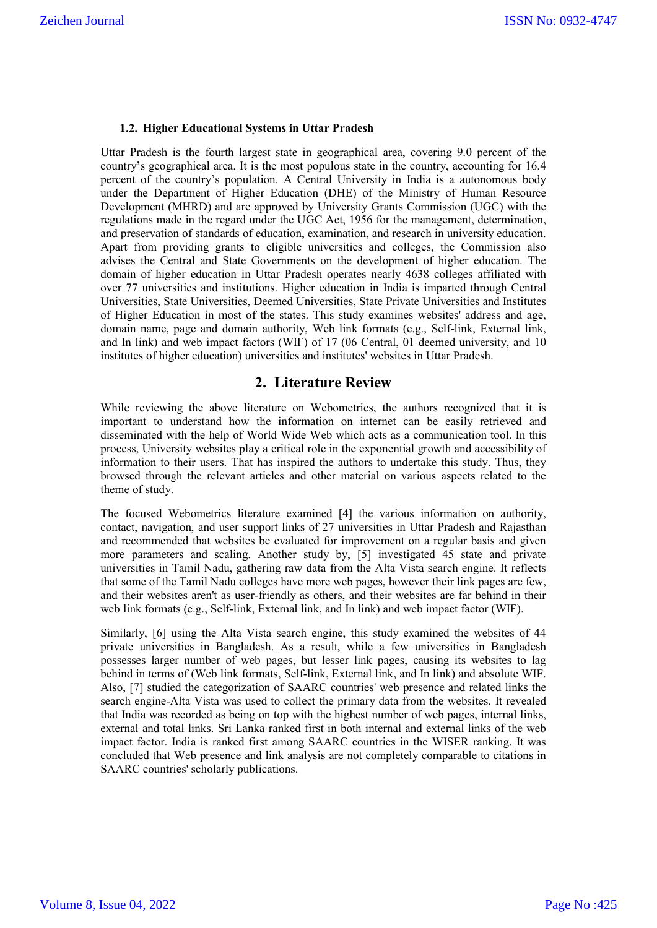#### **1.2. Higher Educational Systems in Uttar Pradesh**

Uttar Pradesh is the fourth largest state in geographical area, covering 9.0 percent of the country's geographical area. It is the most populous state in the country, accounting for 16.4 percent of the country's population. A Central University in India is a autonomous body under the Department of Higher Education (DHE) of the Ministry of Human Resource Development (MHRD) and are approved by University Grants Commission (UGC) with the regulations made in the regard under the UGC Act, 1956 for the management, determination, and preservation of standards of education, examination, and research in university education. Apart from providing grants to eligible universities and colleges, the Commission also advises the Central and State Governments on the development of higher education. The domain of higher education in Uttar Pradesh operates nearly 4638 colleges affiliated with over 77 universities and institutions. Higher education in India is imparted through Central Universities, State Universities, Deemed Universities, State Private Universities and Institutes of Higher Education in most of the states. This study examines websites' address and age, domain name, page and domain authority, Web link formats (e.g., Self-link, External link, and In link) and web impact factors (WIF) of 17 (06 Central, 01 deemed university, and 10 institutes of higher education) universities and institutes' websites in Uttar Pradesh.

## **2. Literature Review**

While reviewing the above literature on Webometrics, the authors recognized that it is important to understand how the information on internet can be easily retrieved and disseminated with the help of World Wide Web which acts as a communication tool. In this process, University websites play a critical role in the exponential growth and accessibility of information to their users. That has inspired the authors to undertake this study. Thus, they browsed through the relevant articles and other material on various aspects related to the theme of study.

The focused Webometrics literature examined [4] the various information on authority, contact, navigation, and user support links of 27 universities in Uttar Pradesh and Rajasthan and recommended that websites be evaluated for improvement on a regular basis and given more parameters and scaling. Another study by, [5] investigated 45 state and private universities in Tamil Nadu, gathering raw data from the Alta Vista search engine. It reflects that some of the Tamil Nadu colleges have more web pages, however their link pages are few, and their websites aren't as user-friendly as others, and their websites are far behind in their web link formats (e.g., Self-link, External link, and In link) and web impact factor (WIF).

Similarly, [6] using the Alta Vista search engine, this study examined the websites of 44 private universities in Bangladesh. As a result, while a few universities in Bangladesh possesses larger number of web pages, but lesser link pages, causing its websites to lag behind in terms of (Web link formats, Self-link, External link, and In link) and absolute WIF. Also, [7] studied the categorization of SAARC countries' web presence and related links the search engine-Alta Vista was used to collect the primary data from the websites. It revealed that India was recorded as being on top with the highest number of web pages, internal links, external and total links. Sri Lanka ranked first in both internal and external links of the web impact factor. India is ranked first among SAARC countries in the WISER ranking. It was concluded that Web presence and link analysis are not completely comparable to citations in SAARC countries' scholarly publications.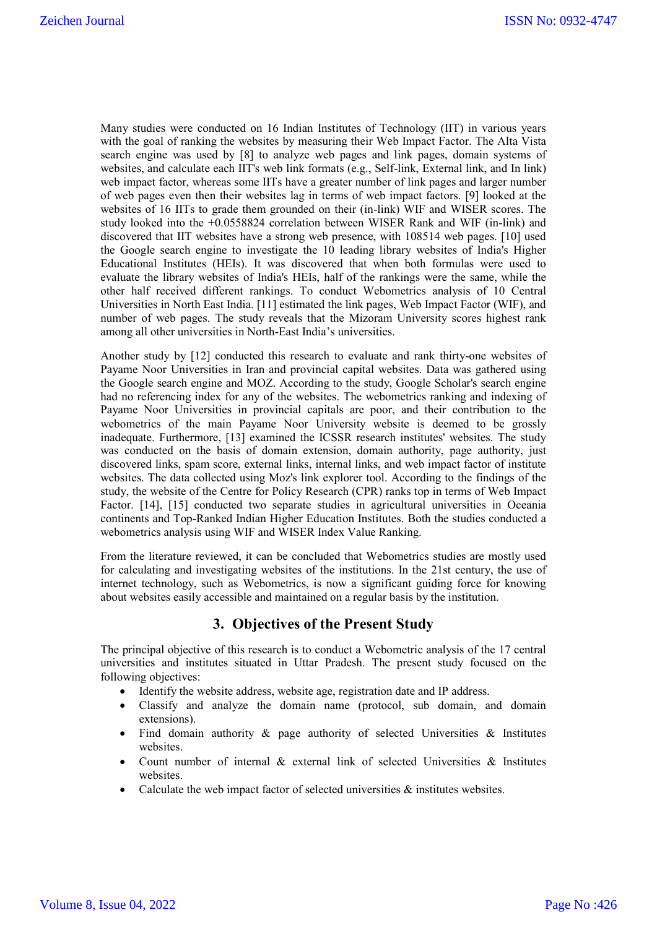Many studies were conducted on 16 Indian Institutes of Technology (IIT) in various years with the goal of ranking the websites by measuring their Web Impact Factor. The Alta Vista search engine was used by [8] to analyze web pages and link pages, domain systems of websites, and calculate each IIT's web link formats (e.g., Self-link, External link, and In link) web impact factor, whereas some IITs have a greater number of link pages and larger number of web pages even then their websites lag in terms of web impact factors. [9] looked at the websites of 16 IITs to grade them grounded on their (in-link) WIF and WISER scores. The study looked into the +0.0558824 correlation between WISER Rank and WIF (in-link) and discovered that IIT websites have a strong web presence, with 108514 web pages. [10] used the Google search engine to investigate the 10 leading library websites of India's Higher Educational Institutes (HEIs). It was discovered that when both formulas were used to evaluate the library websites of India's HEIs, half of the rankings were the same, while the other half received different rankings. To conduct Webometrics analysis of 10 Central Universities in North East India. [11] estimated the link pages, Web Impact Factor (WIF), and number of web pages. The study reveals that the Mizoram University scores highest rank among all other universities in North-East India's universities.

Another study by [12] conducted this research to evaluate and rank thirty-one websites of Payame Noor Universities in Iran and provincial capital websites. Data was gathered using the Google search engine and MOZ. According to the study, Google Scholar's search engine had no referencing index for any of the websites. The webometrics ranking and indexing of Payame Noor Universities in provincial capitals are poor, and their contribution to the webometrics of the main Payame Noor University website is deemed to be grossly inadequate. Furthermore, [13] examined the ICSSR research institutes' websites. The study was conducted on the basis of domain extension, domain authority, page authority, just discovered links, spam score, external links, internal links, and web impact factor of institute websites. The data collected using Moz's link explorer tool. According to the findings of the study, the website of the Centre for Policy Research (CPR) ranks top in terms of Web Impact Factor. [14], [15] conducted two separate studies in agricultural universities in Oceania continents and Top-Ranked Indian Higher Education Institutes. Both the studies conducted a webometrics analysis using WIF and WISER Index Value Ranking.

From the literature reviewed, it can be concluded that Webometrics studies are mostly used for calculating and investigating websites of the institutions. In the 21st century, the use of internet technology, such as Webometrics, is now a significant guiding force for knowing about websites easily accessible and maintained on a regular basis by the institution.

## **3. Objectives of the Present Study**

The principal objective of this research is to conduct a Webometric analysis of the 17 central universities and institutes situated in Uttar Pradesh. The present study focused on the following objectives:

- Identify the website address, website age, registration date and IP address.
- Classify and analyze the domain name (protocol, sub domain, and domain extensions).
- Find domain authority  $\&$  page authority of selected Universities  $\&$  Institutes websites.
- Count number of internal & external link of selected Universities & Institutes websites.
- Calculate the web impact factor of selected universities & institutes websites.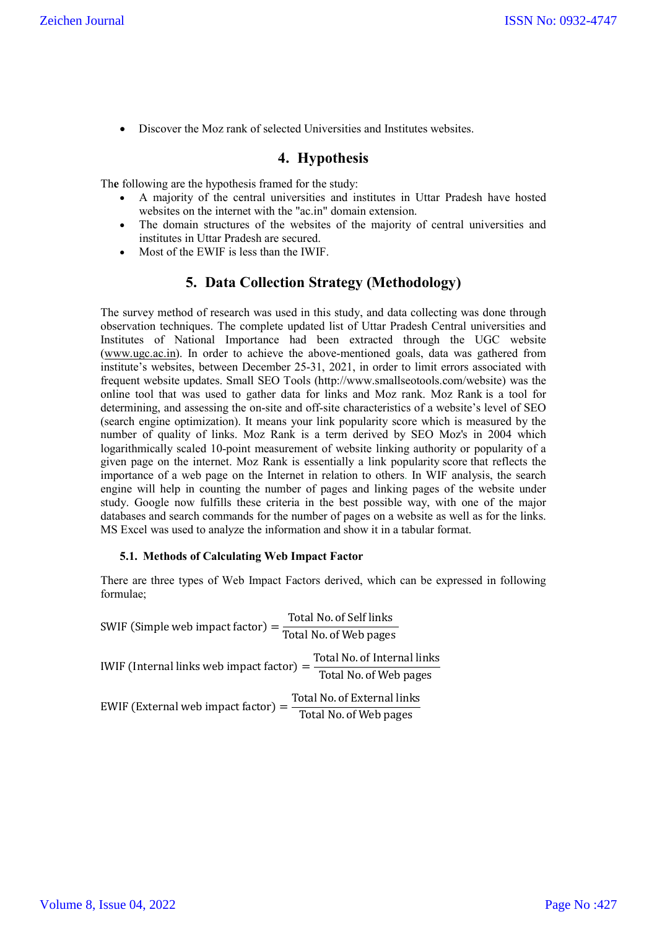Discover the Moz rank of selected Universities and Institutes websites.

# **4. Hypothesis**

Th**e** following are the hypothesis framed for the study:

- A majority of the central universities and institutes in Uttar Pradesh have hosted websites on the internet with the "ac.in" domain extension.
- The domain structures of the websites of the majority of central universities and institutes in Uttar Pradesh are secured.
- Most of the EWIF is less than the IWIF.

# **5. Data Collection Strategy (Methodology)**

The survey method of research was used in this study, and data collecting was done through observation techniques. The complete updated list of Uttar Pradesh Central universities and Institutes of National Importance had been extracted through the UGC website (www.ugc.ac.in). In order to achieve the above-mentioned goals, data was gathered from institute's websites, between December 25-31, 2021, in order to limit errors associated with frequent website updates. Small SEO Tools (http://www.smallseotools.com/website) was the online tool that was used to gather data for links and Moz rank. Moz Rank is a tool for determining, and assessing the on-site and off-site characteristics of a website's level of SEO (search engine optimization). It means your link popularity score which is measured by the number of quality of links. Moz Rank is a term derived by SEO Moz's in 2004 which logarithmically scaled 10-point measurement of website linking authority or popularity of a given page on the internet. Moz Rank is essentially a link popularity score that reflects the importance of a web page on the Internet in relation to others. In WIF analysis, the search engine will help in counting the number of pages and linking pages of the website under study. Google now fulfills these criteria in the best possible way, with one of the major databases and search commands for the number of pages on a website as well as for the links. MS Excel was used to analyze the information and show it in a tabular format.

### **5.1. Methods of Calculating Web Impact Factor**

There are three types of Web Impact Factors derived, which can be expressed in following formulae;

SWIF (Simple web impact factor)  $=$   $\frac{\text{Total No. of Self links}}{\text{Total No. of Web pages}}$ IWIF (Internal links web impact factor) =  $\frac{\text{Total No. of Internal links}}{\text{Total No. of Web pages}}$  $EWIF$  (External web impact factor)  $=$   $\frac{\text{Total No. of External links}}{\text{Total No. of Web pages}}$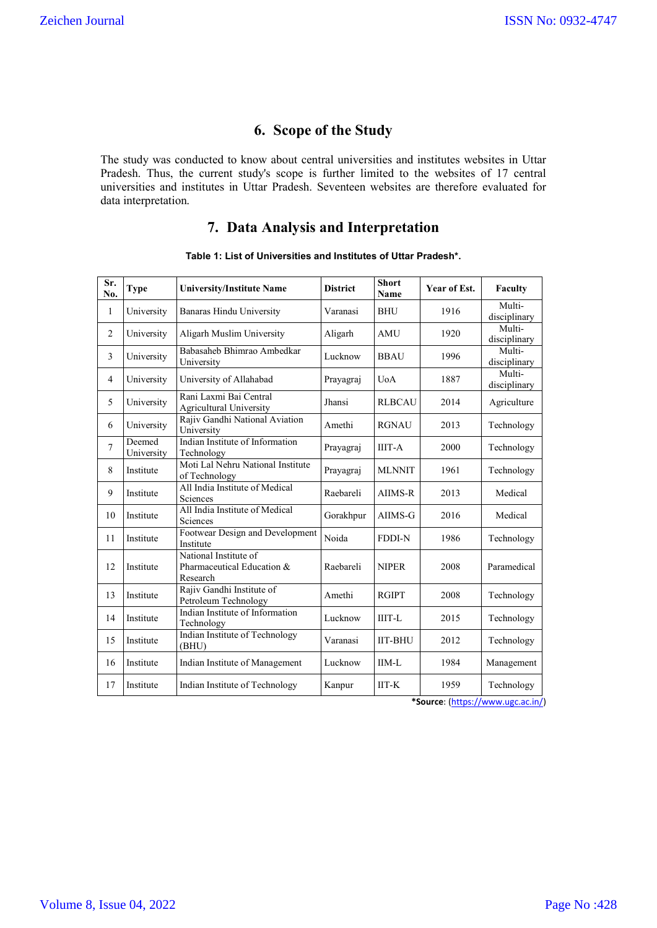# **6. Scope of the Study**

The study was conducted to know about central universities and institutes websites in Uttar Pradesh. Thus, the current study's scope is further limited to the websites of 17 central universities and institutes in Uttar Pradesh. Seventeen websites are therefore evaluated for data interpretation.

# **7. Data Analysis and Interpretation**

| Sr.<br>No.     | Type                 | <b>University/Institute Name</b>                                | <b>District</b> | <b>Short</b><br><b>Name</b> | Year of Est. | Faculty                |
|----------------|----------------------|-----------------------------------------------------------------|-----------------|-----------------------------|--------------|------------------------|
| 1              | University           | Banaras Hindu University                                        | Varanasi        | <b>BHU</b>                  | 1916         | Multi-<br>disciplinary |
| $\overline{2}$ | University           | Aligarh Muslim University                                       | Aligarh         | AMU                         | 1920         | Multi-<br>disciplinary |
| 3              | University           | Babasaheb Bhimrao Ambedkar<br>University                        | Lucknow         | <b>BBAU</b>                 | 1996         | Multi-<br>disciplinary |
| $\overline{4}$ | University           | University of Allahabad                                         | Prayagraj       | <b>U</b> oA                 | 1887         | Multi-<br>disciplinary |
| 5              | University           | Rani Laxmi Bai Central<br><b>Agricultural University</b>        | Jhansi          | <b>RLBCAU</b>               | 2014         | Agriculture            |
| 6              | University           | Rajiv Gandhi National Aviation<br>University                    | Amethi          | <b>RGNAU</b>                | 2013         | Technology             |
| $\overline{7}$ | Deemed<br>University | Indian Institute of Information<br>Technology                   | Prayagraj       | <b>IIIT-A</b>               | 2000         | Technology             |
| 8              | Institute            | Moti Lal Nehru National Institute<br>of Technology              | Prayagraj       | <b>MLNNIT</b>               | 1961         | Technology             |
| 9              | Institute            | All India Institute of Medical<br>Sciences                      | Raebareli       | AIIMS-R                     | 2013         | Medical                |
| 10             | Institute            | All India Institute of Medical<br>Sciences                      | Gorakhpur       | AIIMS-G                     | 2016         | Medical                |
| 11             | Institute            | Footwear Design and Development<br>Institute                    | Noida           | <b>FDDI-N</b>               | 1986         | Technology             |
| 12             | Institute            | National Institute of<br>Pharmaceutical Education &<br>Research | Raebareli       | <b>NIPER</b>                | 2008         | Paramedical            |
| 13             | Institute            | Rajiv Gandhi Institute of<br>Petroleum Technology               | Amethi          | <b>RGIPT</b>                | 2008         | Technology             |
| 14             | Institute            | Indian Institute of Information<br>Technology                   | Lucknow         | <b>IIIT-L</b>               | 2015         | Technology             |
| 15             | Institute            | Indian Institute of Technology<br>(BHU)                         | Varanasi        | <b>IIT-BHU</b>              | 2012         | Technology             |
| 16             | Institute            | Indian Institute of Management                                  | Lucknow         | $IIM-L$                     | 1984         | Management             |
| 17             | Institute            | Indian Institute of Technology                                  | Kanpur          | $IIT-K$                     | 1959         | Technology             |

### **Table 1: List of Universities and Institutes of Uttar Pradesh\*.**

**\*Source**: (https://www.ugc.ac.in/)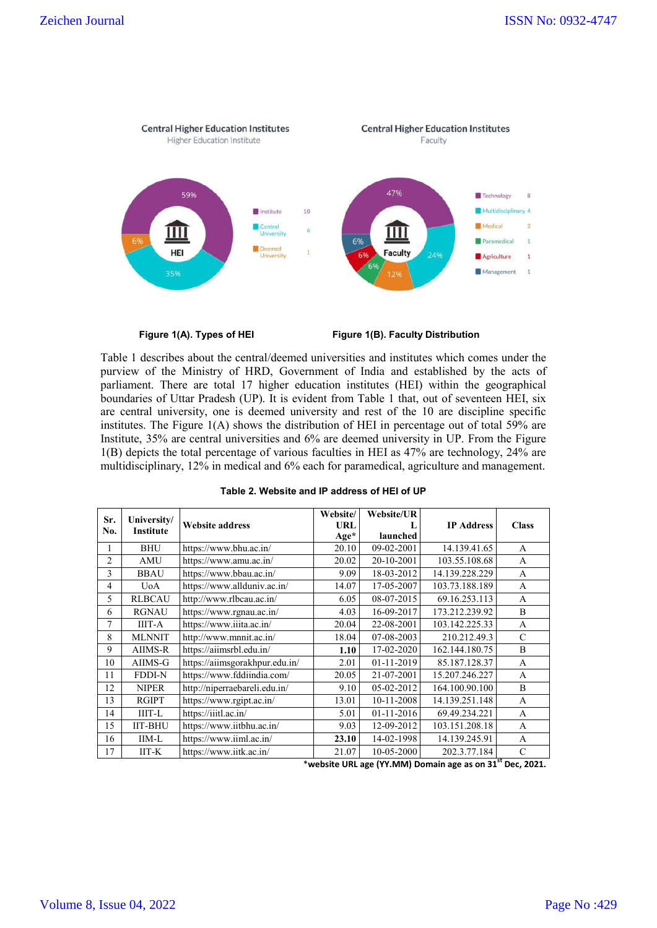

**Figure 1(A). Types of HEI Figure 1(B). Faculty Distribution**

Table 1 describes about the central/deemed universities and institutes which comes under the purview of the Ministry of HRD, Government of India and established by the acts of parliament. There are total 17 higher education institutes (HEI) within the geographical boundaries of Uttar Pradesh (UP). It is evident from Table 1 that, out of seventeen HEI, six are central university, one is deemed university and rest of the 10 are discipline specific institutes. The Figure 1(A) shows the distribution of HEI in percentage out of total 59% are Institute, 35% are central universities and 6% are deemed university in UP. From the Figure 1(B) depicts the total percentage of various faculties in HEI as 47% are technology, 24% are multidisciplinary, 12% in medical and 6% each for paramedical, agriculture and management.

|                |                                 |                                | Website/ | <b>Website/UR</b> |                   |              |
|----------------|---------------------------------|--------------------------------|----------|-------------------|-------------------|--------------|
| Sr.<br>No.     | University/<br><b>Institute</b> | <b>Website address</b>         | URL      |                   | <b>IP Address</b> | <b>Class</b> |
|                |                                 |                                | $Age*$   | launched          |                   |              |
| 1              | <b>BHU</b>                      | https://www.bhu.ac.in/         | 20.10    | 09-02-2001        | 14.139.41.65      | A            |
| $\overline{c}$ | <b>AMU</b>                      | https://www.amu.ac.in/         | 20.02    | 20-10-2001        | 103.55.108.68     | A            |
| 3              | <b>BBAU</b>                     | https://www.bbau.ac.in/        | 9.09     | 18-03-2012        | 14.139.228.229    | A            |
| $\overline{4}$ | <b>U</b> oA                     | https://www.allduniv.ac.in/    | 14.07    | 17-05-2007        | 103.73.188.189    | A            |
| 5.             | <b>RLBCAU</b>                   | http://www.rlbcau.ac.in/       | 6.05     | 08-07-2015        | 69.16.253.113     | A            |
| 6              | <b>RGNAU</b>                    | https://www.rgnau.ac.in/       | 4.03     | 16-09-2017        | 173.212.239.92    | B            |
| 7              | IIIT-A                          | https://www.iiita.ac.in/       | 20.04    | 22-08-2001        | 103.142.225.33    | $\mathsf{A}$ |
| 8              | <b>MLNNIT</b>                   | http://www.mnnit.ac.in/        | 18.04    | 07-08-2003        | 210.212.49.3      | C            |
| 9              | AIIMS-R                         | https://aiimsrbl.edu.in/       | 1.10     | 17-02-2020        | 162.144.180.75    | B            |
| 10             | AIIMS-G                         | https://aiimsgorakhpur.edu.in/ | 2.01     | 01-11-2019        | 85.187.128.37     | A            |
| 11             | <b>FDDI-N</b>                   | https://www.fddiindia.com/     | 20.05    | 21-07-2001        | 15.207.246.227    | A            |
| 12             | <b>NIPER</b>                    | http://niperraebareli.edu.in/  | 9.10     | 05-02-2012        | 164.100.90.100    | B            |
| 13             | <b>RGIPT</b>                    | https://www.rgipt.ac.in/       | 13.01    | 10-11-2008        | 14.139.251.148    | A            |
| 14             | IIIT-L                          | https://iiitl.ac.in/           | 5.01     | 01-11-2016        | 69.49.234.221     | A            |
| 15             | <b>IIT-BHU</b>                  | https://www.iitbhu.ac.in/      | 9.03     | 12-09-2012        | 103.151.208.18    | A            |
| 16             | $IM-L$                          | https://www.iiml.ac.in/        | 23.10    | 14-02-1998        | 14.139.245.91     | A            |
| 17             | $IIT-K$                         | https://www.iitk.ac.in/        | 21.07    | 10-05-2000        | 202.3.77.184      | C            |

| Table 2. Website and IP address of HEI of UP |  |
|----------------------------------------------|--|
|----------------------------------------------|--|

\***website URL age (YY.MM) Domain age as on 31st Dec, 2021.**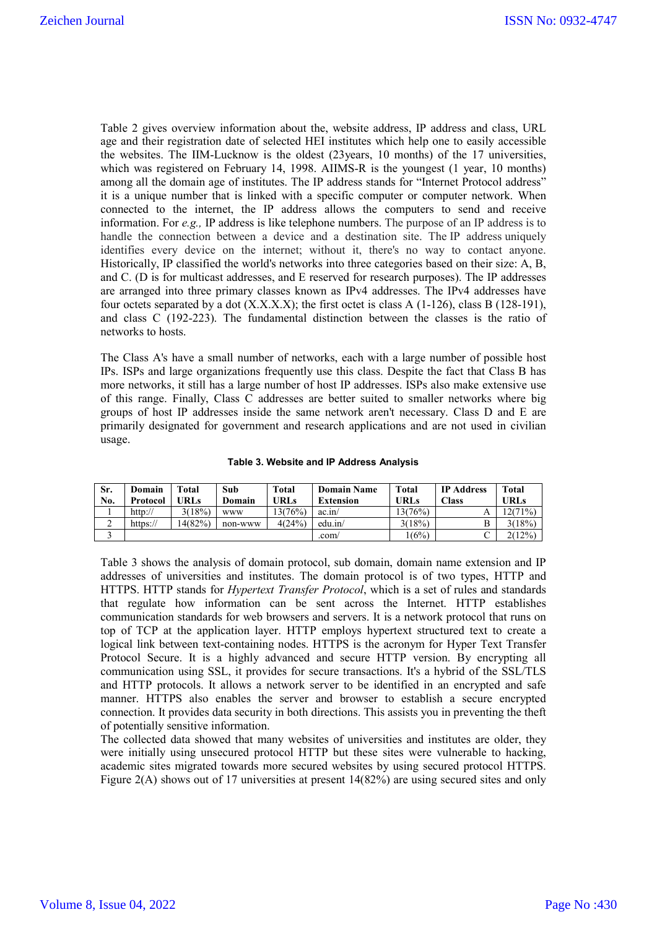Table 2 gives overview information about the, website address, IP address and class, URL age and their registration date of selected HEI institutes which help one to easily accessible the websites. The IIM-Lucknow is the oldest (23years, 10 months) of the 17 universities, which was registered on February 14, 1998. AIIMS-R is the youngest (1 year, 10 months) among all the domain age of institutes. The IP address stands for "Internet Protocol address" it is a unique number that is linked with a specific computer or computer network. When connected to the internet, the IP address allows the computers to send and receive information. For *e.g.,* IP address is like telephone numbers. The purpose of an IP address is to handle the connection between a device and a destination site. The IP address uniquely identifies every device on the internet; without it, there's no way to contact anyone. Historically, IP classified the world's networks into three categories based on their size: A, B, and C. (D is for multicast addresses, and E reserved for research purposes). The IP addresses are arranged into three primary classes known as IPv4 addresses. The IPv4 addresses have four octets separated by a dot  $(X.X.X.X)$ ; the first octet is class A (1-126), class B (128-191), and class C (192-223). The fundamental distinction between the classes is the ratio of networks to hosts.

The Class A's have a small number of networks, each with a large number of possible host IPs. ISPs and large organizations frequently use this class. Despite the fact that Class B has more networks, it still has a large number of host IP addresses. ISPs also make extensive use of this range. Finally, Class C addresses are better suited to smaller networks where big groups of host IP addresses inside the same network aren't necessary. Class D and E are primarily designated for government and research applications and are not used in civilian usage.

|  |  |  |  | Table 3. Website and IP Address Analysis |
|--|--|--|--|------------------------------------------|
|--|--|--|--|------------------------------------------|

| Sr. | Domain          | Total       | Sub        | Total   | <b>Domain Name</b> | Total   | <b>IP Address</b> | Total   |
|-----|-----------------|-------------|------------|---------|--------------------|---------|-------------------|---------|
| No. | Protocol        | <b>TRLs</b> | Domain     | URLs    | <b>Extension</b>   | URLs    | <b>Class</b>      | URLs    |
|     | $\frac{http://$ | 3(18%)      | <b>WWW</b> | 13(76%) | ac.in/             | 13(76%) |                   | 12(71%) |
| ∸   | https://        | 14(82%)     | non-www    | 4(24%)  | edu.in/            | 3(18%)  |                   | 3(18%)  |
|     |                 |             |            |         | .com/              | (6%)    |                   | 2(12%)  |

Table 3 shows the analysis of domain protocol, sub domain, domain name extension and IP addresses of universities and institutes. The domain protocol is of two types, HTTP and HTTPS. HTTP stands for *Hypertext Transfer Protocol*, which is a set of rules and standards that regulate how information can be sent across the Internet. HTTP establishes communication standards for web browsers and servers. It is a network protocol that runs on top of TCP at the application layer. HTTP employs hypertext structured text to create a logical link between text-containing nodes. HTTPS is the acronym for Hyper Text Transfer Protocol Secure. It is a highly advanced and secure HTTP version. By encrypting all communication using SSL, it provides for secure transactions. It's a hybrid of the SSL/TLS and HTTP protocols. It allows a network server to be identified in an encrypted and safe manner. HTTPS also enables the server and browser to establish a secure encrypted connection. It provides data security in both directions. This assists you in preventing the theft of potentially sensitive information.

The collected data showed that many websites of universities and institutes are older, they were initially using unsecured protocol HTTP but these sites were vulnerable to hacking, academic sites migrated towards more secured websites by using secured protocol HTTPS. Figure 2(A) shows out of 17 universities at present 14(82%) are using secured sites and only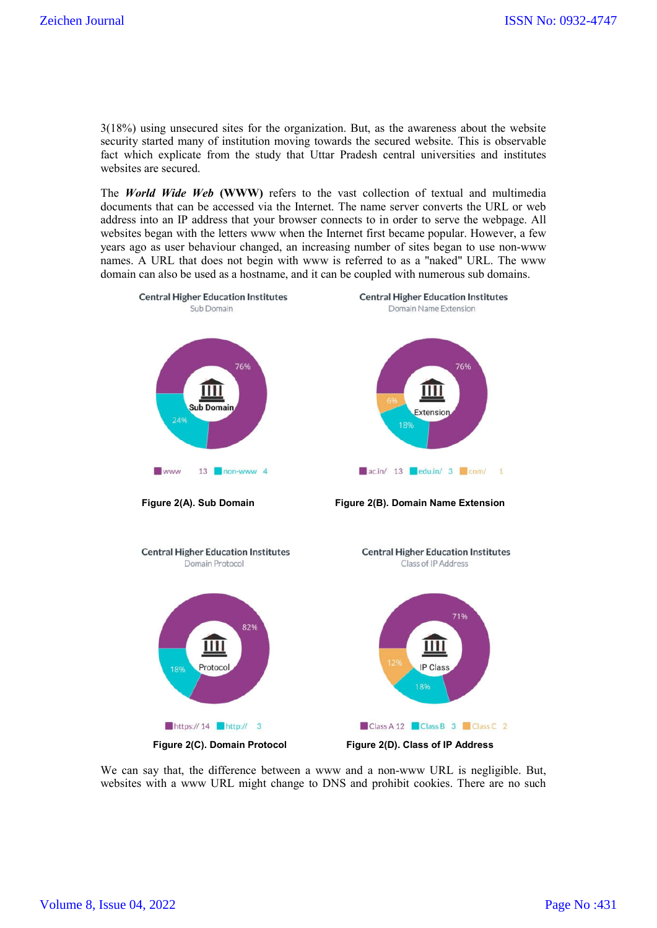3(18%) using unsecured sites for the organization. But, as the awareness about the website security started many of institution moving towards the secured website. This is observable fact which explicate from the study that Uttar Pradesh central universities and institutes websites are secured.

The *World Wide Web* **(WWW)** refers to the vast collection of textual and multimedia documents that can be accessed via the Internet. The name server converts the URL or web address into an IP address that your browser connects to in order to serve the webpage. All websites began with the letters www when the Internet first became popular. However, a few years ago as user behaviour changed, an increasing number of sites began to use non-www names. A URL that does not begin with www is referred to as a "naked" URL. The www domain can also be used as a hostname, and it can be coupled with numerous sub domains.



We can say that, the difference between a www and a non-www URL is negligible. But, websites with a www URL might change to DNS and prohibit cookies. There are no such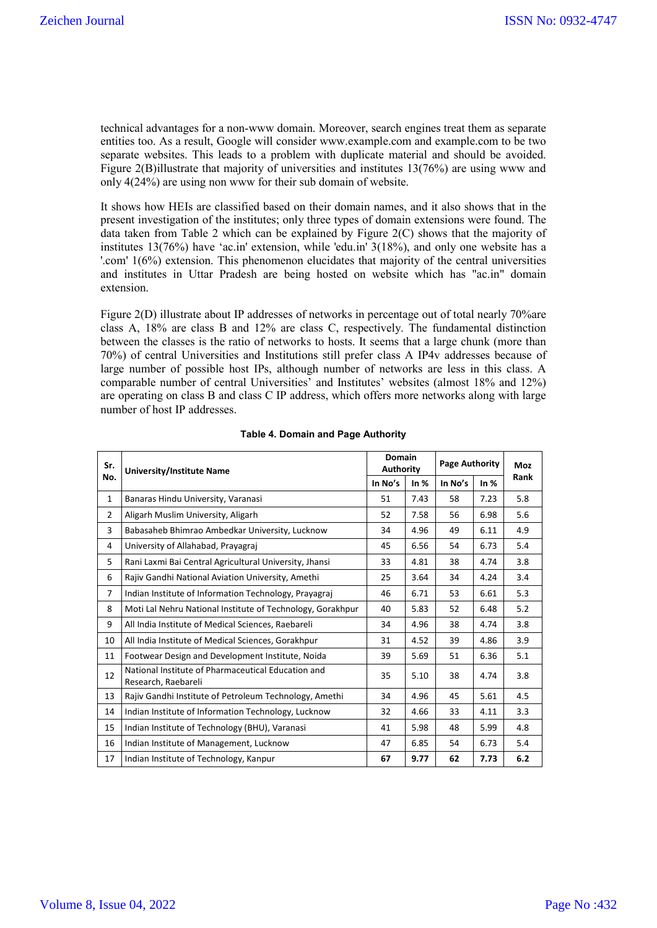technical advantages for a non-www domain. Moreover, search engines treat them as separate entities too. As a result, Google will consider www.example.com and example.com to be two separate websites. This leads to a problem with duplicate material and should be avoided. Figure 2(B)illustrate that majority of universities and institutes 13(76%) are using www and only 4(24%) are using non www for their sub domain of website.

It shows how HEIs are classified based on their domain names, and it also shows that in the present investigation of the institutes; only three types of domain extensions were found. The data taken from Table 2 which can be explained by Figure 2(C) shows that the majority of institutes 13(76%) have 'ac.in' extension, while 'edu.in' 3(18%), and only one website has a '.com' 1(6%) extension. This phenomenon elucidates that majority of the central universities and institutes in Uttar Pradesh are being hosted on website which has "ac.in" domain extension.

Figure 2(D) illustrate about IP addresses of networks in percentage out of total nearly 70% are class A, 18% are class B and 12% are class C, respectively. The fundamental distinction between the classes is the ratio of networks to hosts. It seems that a large chunk (more than 70%) of central Universities and Institutions still prefer class A IP4v addresses because of large number of possible host IPs, although number of networks are less in this class. A comparable number of central Universities' and Institutes' websites (almost 18% and 12%) are operating on class B and class C IP address, which offers more networks along with large number of host IP addresses.

| Sr.            | <b>University/Institute Name</b>                                          | <b>Domain</b><br><b>Authority</b> |        | <b>Page Authority</b> |        | <b>Moz</b> |  |
|----------------|---------------------------------------------------------------------------|-----------------------------------|--------|-----------------------|--------|------------|--|
| No.            |                                                                           | In No's                           | In $%$ | In No's               | In $%$ | Rank       |  |
| $\mathbf{1}$   | Banaras Hindu University, Varanasi                                        | 51                                | 7.43   | 58                    | 7.23   | 5.8        |  |
| $\overline{2}$ | Aligarh Muslim University, Aligarh                                        | 52                                | 7.58   | 56                    | 6.98   | 5.6        |  |
| 3              | Babasaheb Bhimrao Ambedkar University, Lucknow                            | 34                                | 4.96   | 49                    | 6.11   | 4.9        |  |
| 4              | University of Allahabad, Prayagraj                                        | 45                                | 6.56   | 54                    | 6.73   | 5.4        |  |
| 5              | Rani Laxmi Bai Central Agricultural University, Jhansi                    | 33                                | 4.81   | 38                    | 4.74   | 3.8        |  |
| 6              | Rajiv Gandhi National Aviation University, Amethi                         | 25                                | 3.64   | 34                    | 4.24   | 3.4        |  |
| $\overline{7}$ | Indian Institute of Information Technology, Prayagraj                     | 46                                | 6.71   | 53                    | 6.61   | 5.3        |  |
| 8              | Moti Lal Nehru National Institute of Technology, Gorakhpur                | 40                                | 5.83   | 52                    | 6.48   | 5.2        |  |
| 9              | All India Institute of Medical Sciences, Raebareli                        | 34                                | 4.96   | 38                    | 4.74   | 3.8        |  |
| 10             | All India Institute of Medical Sciences, Gorakhpur                        | 31                                | 4.52   | 39                    | 4.86   | 3.9        |  |
| 11             | Footwear Design and Development Institute, Noida                          | 39                                | 5.69   | 51                    | 6.36   | 5.1        |  |
| 12             | National Institute of Pharmaceutical Education and<br>Research, Raebareli | 35                                | 5.10   | 38                    | 4.74   | 3.8        |  |
| 13             | Rajiv Gandhi Institute of Petroleum Technology, Amethi                    | 34                                | 4.96   | 45                    | 5.61   | 4.5        |  |
| 14             | Indian Institute of Information Technology, Lucknow                       | 32                                | 4.66   | 33                    | 4.11   | 3.3        |  |
| 15             | Indian Institute of Technology (BHU), Varanasi                            | 41                                | 5.98   | 48                    | 5.99   | 4.8        |  |
| 16             | Indian Institute of Management, Lucknow                                   | 47                                | 6.85   | 54                    | 6.73   | 5.4        |  |
| 17             | Indian Institute of Technology, Kanpur                                    | 67                                | 9.77   | 62                    | 7.73   | 6.2        |  |

#### **Table 4. Domain and Page Authority**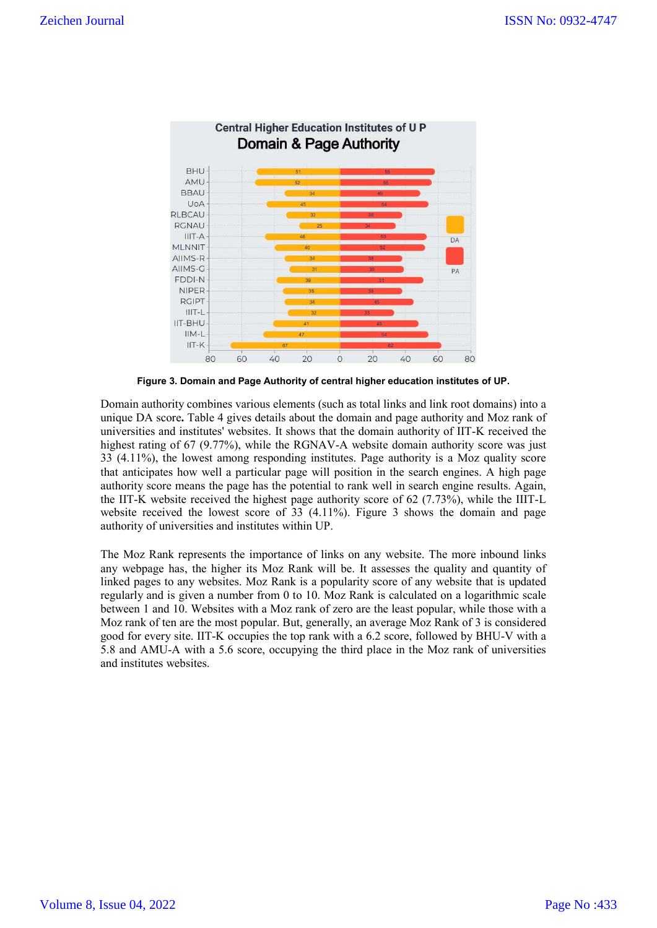

**Figure 3. Domain and Page Authority of central higher education institutes of UP.**

Domain authority combines various elements (such as total links and link root domains) into a unique DA score**.** Table 4 gives details about the domain and page authority and Moz rank of universities and institutes' websites. It shows that the domain authority of IIT-K received the highest rating of 67 (9.77%), while the RGNAV-A website domain authority score was just 33 (4.11%), the lowest among responding institutes. Page authority is a Moz quality score that anticipates how well a particular page will position in the search engines. A high page authority score means the page has the potential to rank well in search engine results. Again, the IIT-K website received the highest page authority score of 62 (7.73%), while the IIIT-L website received the lowest score of 33 (4.11%). Figure 3 shows the domain and page authority of universities and institutes within UP.

The Moz Rank represents the importance of links on any website. The more inbound links any webpage has, the higher its Moz Rank will be. It assesses the quality and quantity of linked pages to any websites. Moz Rank is a popularity score of any website that is updated regularly and is given a number from 0 to 10. Moz Rank is calculated on a logarithmic scale between 1 and 10. Websites with a Moz rank of zero are the least popular, while those with a Moz rank of ten are the most popular. But, generally, an average Moz Rank of 3 is considered good for every site. IIT-K occupies the top rank with a 6.2 score, followed by BHU-V with a 5.8 and AMU-A with a 5.6 score, occupying the third place in the Moz rank of universities and institutes websites.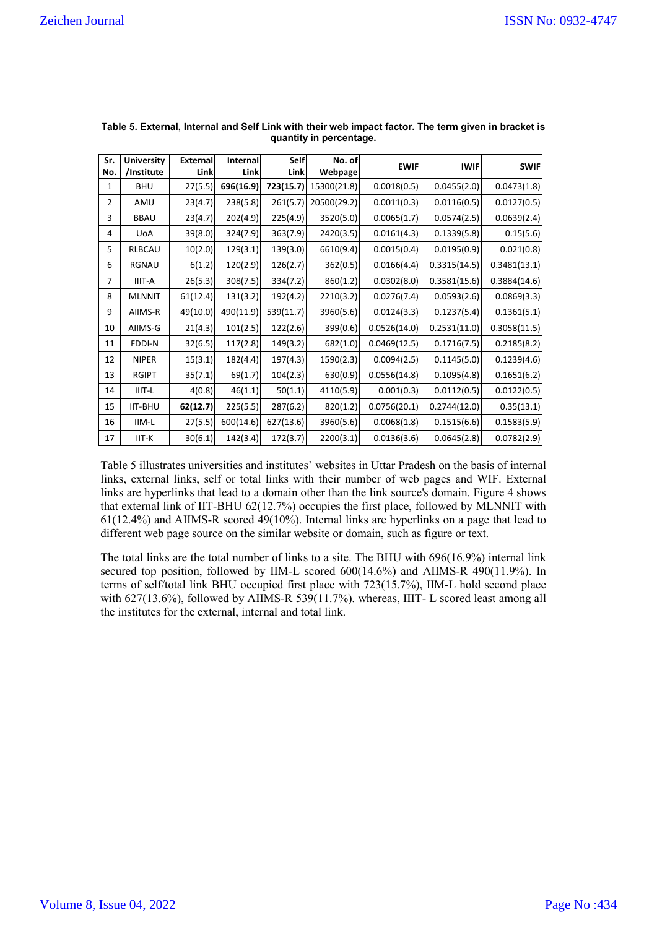| Sr.<br>No.     | <b>University</b><br>/Institute | <b>External</b><br>Link | Internal<br>Link | <b>Self</b><br><b>Link</b> | No. of<br>Webpage | <b>EWIF</b>  | <b>IWIF</b>  | <b>SWIF</b>  |
|----------------|---------------------------------|-------------------------|------------------|----------------------------|-------------------|--------------|--------------|--------------|
| 1              | <b>BHU</b>                      | 27(5.5)                 | 696(16.9)        | 723(15.7)                  | 15300(21.8)       | 0.0018(0.5)  | 0.0455(2.0)  | 0.0473(1.8)  |
| $\overline{2}$ | AMU                             | 23(4.7)                 | 238(5.8)         | 261(5.7)                   | 20500(29.2)       | 0.0011(0.3)  | 0.0116(0.5)  | 0.0127(0.5)  |
| 3              | <b>BBAU</b>                     | 23(4.7)                 | 202(4.9)         | 225(4.9)                   | 3520(5.0)         | 0.0065(1.7)  | 0.0574(2.5)  | 0.0639(2.4)  |
| 4              | <b>UoA</b>                      | 39(8.0)                 | 324(7.9)         | 363(7.9)                   | 2420(3.5)         | 0.0161(4.3)  | 0.1339(5.8)  | 0.15(5.6)    |
| 5              | <b>RLBCAU</b>                   | 10(2.0)                 | 129(3.1)         | 139(3.0)                   | 6610(9.4)         | 0.0015(0.4)  | 0.0195(0.9)  | 0.021(0.8)   |
| 6              | RGNAU                           | 6(1.2)                  | 120(2.9)         | 126(2.7)                   | 362(0.5)          | 0.0166(4.4)  | 0.3315(14.5) | 0.3481(13.1) |
| $\overline{7}$ | IIIT-A                          | 26(5.3)                 | 308(7.5)         | 334(7.2)                   | 860(1.2)          | 0.0302(8.0)  | 0.3581(15.6) | 0.3884(14.6) |
| 8              | <b>MLNNIT</b>                   | 61(12.4)                | 131(3.2)         | 192(4.2)                   | 2210(3.2)         | 0.0276(7.4)  | 0.0593(2.6)  | 0.0869(3.3)  |
| 9              | AIIMS-R                         | 49(10.0)                | 490(11.9)        | 539(11.7)                  | 3960(5.6)         | 0.0124(3.3)  | 0.1237(5.4)  | 0.1361(5.1)  |
| 10             | AIIMS-G                         | 21(4.3)                 | 101(2.5)         | 122(2.6)                   | 399(0.6)          | 0.0526(14.0) | 0.2531(11.0) | 0.3058(11.5) |
| 11             | FDDI-N                          | 32(6.5)                 | 117(2.8)         | 149(3.2)                   | 682(1.0)          | 0.0469(12.5) | 0.1716(7.5)  | 0.2185(8.2)  |
| 12             | <b>NIPER</b>                    | 15(3.1)                 | 182(4.4)         | 197(4.3)                   | 1590(2.3)         | 0.0094(2.5)  | 0.1145(5.0)  | 0.1239(4.6)  |
| 13             | <b>RGIPT</b>                    | 35(7.1)                 | 69(1.7)          | 104(2.3)                   | 630(0.9)          | 0.0556(14.8) | 0.1095(4.8)  | 0.1651(6.2)  |
| 14             | IIIT-L                          | 4(0.8)                  | 46(1.1)          | 50(1.1)                    | 4110(5.9)         | 0.001(0.3)   | 0.0112(0.5)  | 0.0122(0.5)  |
| 15             | <b>IIT-BHU</b>                  | 62(12.7)                | 225(5.5)         | 287(6.2)                   | 820(1.2)          | 0.0756(20.1) | 0.2744(12.0) | 0.35(13.1)   |
| 16             | IIM-L                           | 27(5.5)                 | 600(14.6)        | 627(13.6)                  | 3960(5.6)         | 0.0068(1.8)  | 0.1515(6.6)  | 0.1583(5.9)  |
| 17             | IIT-K                           | 30(6.1)                 | 142(3.4)         | 172(3.7)                   | 2200(3.1)         | 0.0136(3.6)  | 0.0645(2.8)  | 0.0782(2.9)  |

#### **Table 5. External, Internal and Self Link with their web impact factor. The term given in bracket is quantity in percentage.**

Table 5 illustrates universities and institutes' websites in Uttar Pradesh on the basis of internal links, external links, self or total links with their number of web pages and WIF. External links are hyperlinks that lead to a domain other than the link source's domain. Figure 4 shows that external link of IIT-BHU 62(12.7%) occupies the first place, followed by MLNNIT with 61(12.4%) and AIIMS-R scored 49(10%). Internal links are hyperlinks on a page that lead to different web page source on the similar website or domain, such as figure or text.

The total links are the total number of links to a site. The BHU with 696(16.9%) internal link secured top position, followed by IIM-L scored 600(14.6%) and AIIMS-R 490(11.9%). In terms of self/total link BHU occupied first place with 723(15.7%), IIM-L hold second place with 627(13.6%), followed by AIIMS-R 539(11.7%). whereas, IIIT- L scored least among all the institutes for the external, internal and total link.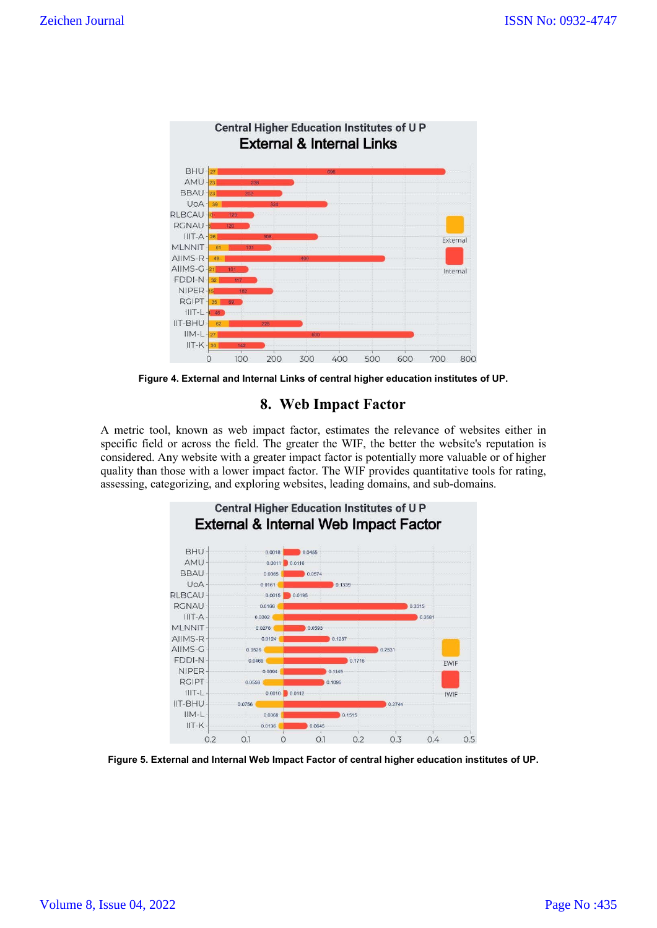

**Figure 4. External and Internal Links of central higher education institutes of UP.**

# **8. Web Impact Factor**

A metric tool, known as web impact factor, estimates the relevance of websites either in specific field or across the field. The greater the WIF, the better the website's reputation is considered. Any website with a greater impact factor is potentially more valuable or of higher quality than those with a lower impact factor. The WIF provides quantitative tools for rating, assessing, categorizing, and exploring websites, leading domains, and sub-domains.



**Figure 5. External and Internal Web Impact Factor of central higher education institutes of UP.**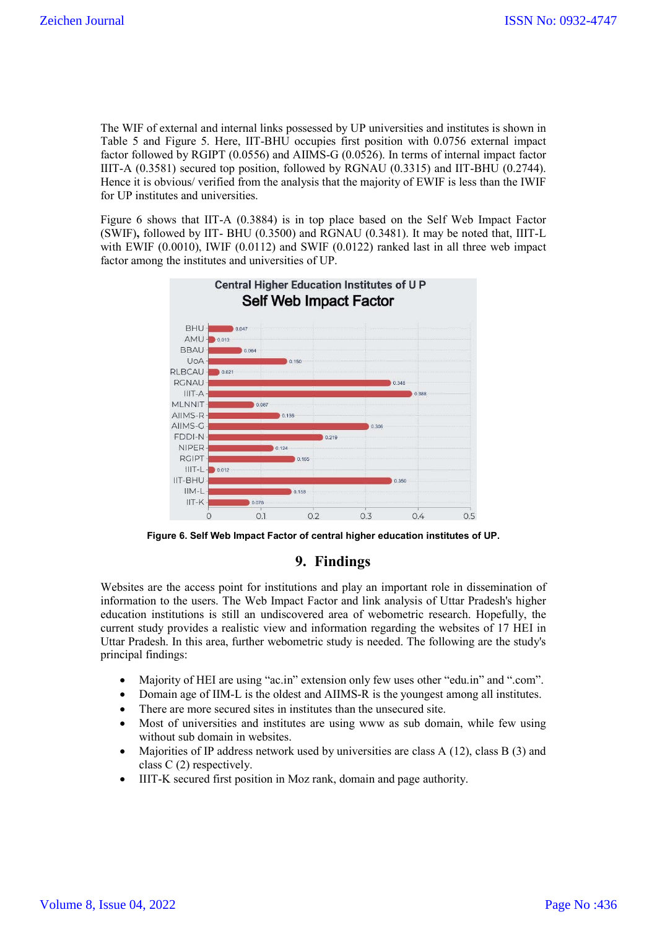The WIF of external and internal links possessed by UP universities and institutes is shown in Table 5 and Figure 5. Here, IIT-BHU occupies first position with 0.0756 external impact factor followed by RGIPT (0.0556) and AIIMS-G (0.0526). In terms of internal impact factor IIIT-A (0.3581) secured top position, followed by RGNAU (0.3315) and IIT-BHU (0.2744). Hence it is obvious/ verified from the analysis that the majority of EWIF is less than the IWIF for UP institutes and universities.

Figure 6 shows that IIT-A (0.3884) is in top place based on the Self Web Impact Factor (SWIF)**,** followed by IIT- BHU (0.3500) and RGNAU (0.3481). It may be noted that, IIIT-L with EWIF (0.0010), IWIF (0.0112) and SWIF (0.0122) ranked last in all three web impact factor among the institutes and universities of UP.



**Figure 6. Self Web Impact Factor of central higher education institutes of UP.**

# **9. Findings**

Websites are the access point for institutions and play an important role in dissemination of information to the users. The Web Impact Factor and link analysis of Uttar Pradesh's higher education institutions is still an undiscovered area of webometric research. Hopefully, the current study provides a realistic view and information regarding the websites of 17 HEI in Uttar Pradesh. In this area, further webometric study is needed. The following are the study's principal findings:

- Majority of HEI are using "ac.in" extension only few uses other "edu.in" and ".com".
- Domain age of IIM-L is the oldest and AIIMS-R is the youngest among all institutes.
- There are more secured sites in institutes than the unsecured site.
- Most of universities and institutes are using www as sub domain, while few using without sub domain in websites.
- Majorities of IP address network used by universities are class A (12), class B (3) and class C (2) respectively.
- IIIT-K secured first position in Moz rank, domain and page authority.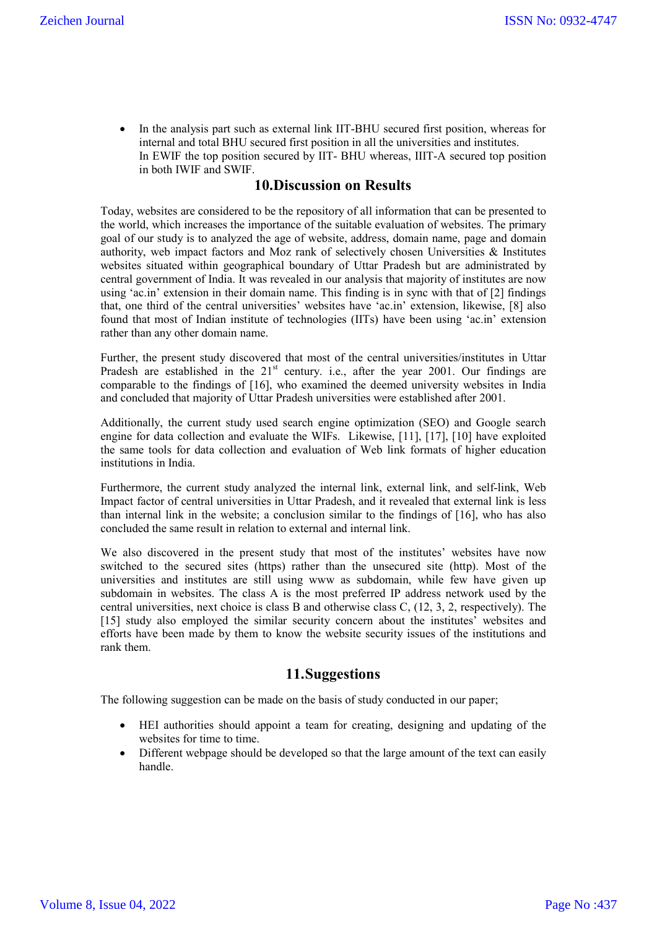• In the analysis part such as external link IIT-BHU secured first position, whereas for internal and total BHU secured first position in all the universities and institutes. In EWIF the top position secured by IIT- BHU whereas, IIIT-A secured top position in both IWIF and SWIF.

## **10.Discussion on Results**

Today, websites are considered to be the repository of all information that can be presented to the world, which increases the importance of the suitable evaluation of websites. The primary goal of our study is to analyzed the age of website, address, domain name, page and domain authority, web impact factors and Moz rank of selectively chosen Universities & Institutes websites situated within geographical boundary of Uttar Pradesh but are administrated by central government of India. It was revealed in our analysis that majority of institutes are now using 'ac.in' extension in their domain name. This finding is in sync with that of [2] findings that, one third of the central universities' websites have 'ac.in' extension, likewise, [8] also found that most of Indian institute of technologies (IITs) have been using 'ac.in' extension rather than any other domain name.

Further, the present study discovered that most of the central universities/institutes in Uttar Pradesh are established in the 21<sup>st</sup> century. i.e., after the year 2001. Our findings are comparable to the findings of [16], who examined the deemed university websites in India and concluded that majority of Uttar Pradesh universities were established after 2001.

Additionally, the current study used search engine optimization (SEO) and Google search engine for data collection and evaluate the WIFs. Likewise, [11], [17], [10] have exploited the same tools for data collection and evaluation of Web link formats of higher education institutions in India.

Furthermore, the current study analyzed the internal link, external link, and self-link, Web Impact factor of central universities in Uttar Pradesh, and it revealed that external link is less than internal link in the website; a conclusion similar to the findings of [16], who has also concluded the same result in relation to external and internal link.

We also discovered in the present study that most of the institutes' websites have now switched to the secured sites (https) rather than the unsecured site (http). Most of the universities and institutes are still using www as subdomain, while few have given up subdomain in websites. The class A is the most preferred IP address network used by the central universities, next choice is class B and otherwise class C, (12, 3, 2, respectively). The [15] study also employed the similar security concern about the institutes' websites and efforts have been made by them to know the website security issues of the institutions and rank them.

# **11.Suggestions**

The following suggestion can be made on the basis of study conducted in our paper;

- HEI authorities should appoint a team for creating, designing and updating of the websites for time to time.
- Different webpage should be developed so that the large amount of the text can easily handle.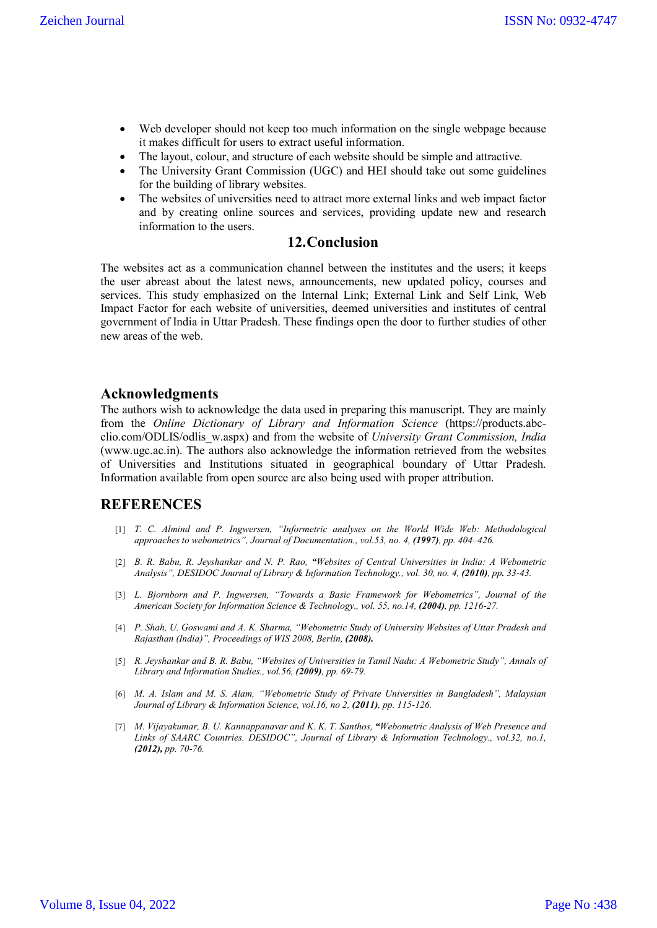- Web developer should not keep too much information on the single webpage because it makes difficult for users to extract useful information.
- The layout, colour, and structure of each website should be simple and attractive.
- The University Grant Commission (UGC) and HEI should take out some guidelines for the building of library websites.
- The websites of universities need to attract more external links and web impact factor and by creating online sources and services, providing update new and research information to the users.

# **12.Conclusion**

The websites act as a communication channel between the institutes and the users; it keeps the user abreast about the latest news, announcements, new updated policy, courses and services. This study emphasized on the Internal Link; External Link and Self Link, Web Impact Factor for each website of universities, deemed universities and institutes of central government of India in Uttar Pradesh. These findings open the door to further studies of other new areas of the web.

# **Acknowledgments**

The authors wish to acknowledge the data used in preparing this manuscript. They are mainly from the *Online Dictionary of Library and Information Science* (https://products.abcclio.com/ODLIS/odlis\_w.aspx) and from the website of *University Grant Commission, India* (www.ugc.ac.in). The authors also acknowledge the information retrieved from the websites of Universities and Institutions situated in geographical boundary of Uttar Pradesh. Information available from open source are also being used with proper attribution.

# **REFERENCES**

- [1] *T. C. Almind and P. Ingwersen, "Informetric analyses on the World Wide Web: Methodological approaches to webometrics", Journal of Documentation., vol.53, no. 4, (1997), pp. 404–426.*
- [2] *B. R. Babu, R. Jeyshankar and N. P. Rao, "Websites of Central Universities in India: A Webometric Analysis", DESIDOC Journal of Library & Information Technology., vol. 30, no. 4, (2010), pp. 33-43.*
- [3] *L. Bjornborn and P. Ingwersen, "Towards a Basic Framework for Webometrics", Journal of the American Society for Information Science & Technology., vol. 55, no.14, (2004), pp. 1216-27.*
- [4] *P. Shah, U. Goswami and A. K. Sharma, "Webometric Study of University Websites of Uttar Pradesh and Rajasthan (India)", Proceedings of WIS 2008, Berlin, (2008).*
- [5] *R. Jeyshankar and B. R. Babu, "Websites of Universities in Tamil Nadu: A Webometric Study", Annals of Library and Information Studies., vol.56, (2009), pp. 69-79.*
- [6] *M. A. Islam and M. S. Alam, "Webometric Study of Private Universities in Bangladesh", Malaysian Journal of Library & Information Science, vol.16, no 2, (2011), pp. 115-126.*
- [7] *M. Vijayakumar, B. U. Kannappanavar and K. K. T. Santhos, "Webometric Analysis of Web Presence and Links of SAARC Countries. DESIDOC", Journal of Library & Information Technology., vol.32, no.1, (2012), pp. 70-76.*